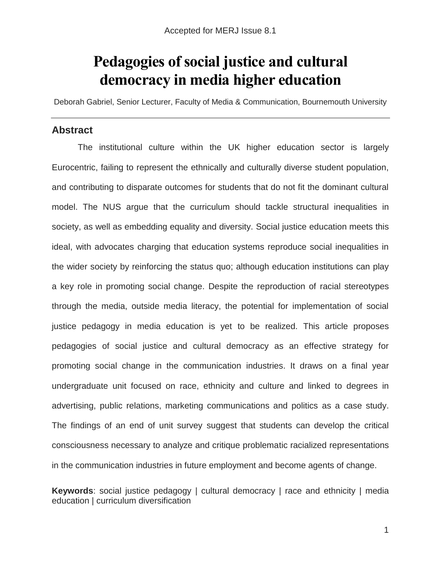# **Pedagogies of social justice and cultural democracy in media higher education**

Deborah Gabriel, Senior Lecturer, Faculty of Media & Communication, Bournemouth University

# **Abstract**

The institutional culture within the UK higher education sector is largely Eurocentric, failing to represent the ethnically and culturally diverse student population, and contributing to disparate outcomes for students that do not fit the dominant cultural model. The NUS argue that the curriculum should tackle structural inequalities in society, as well as embedding equality and diversity. Social justice education meets this ideal, with advocates charging that education systems reproduce social inequalities in the wider society by reinforcing the status quo; although education institutions can play a key role in promoting social change. Despite the reproduction of racial stereotypes through the media, outside media literacy, the potential for implementation of social justice pedagogy in media education is yet to be realized. This article proposes pedagogies of social justice and cultural democracy as an effective strategy for promoting social change in the communication industries. It draws on a final year undergraduate unit focused on race, ethnicity and culture and linked to degrees in advertising, public relations, marketing communications and politics as a case study. The findings of an end of unit survey suggest that students can develop the critical consciousness necessary to analyze and critique problematic racialized representations in the communication industries in future employment and become agents of change.

**Keywords**: social justice pedagogy | cultural democracy | race and ethnicity | media education | curriculum diversification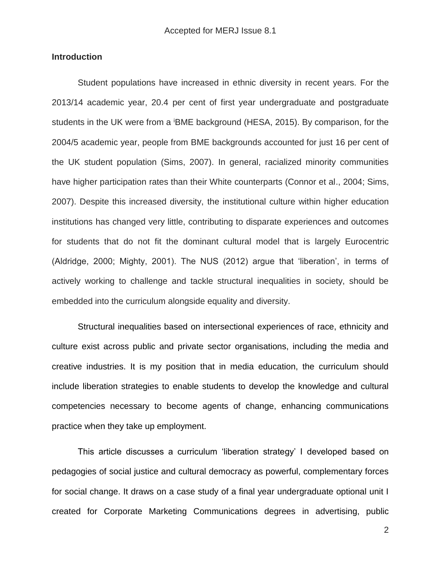# **Introduction**

Student populations have increased in ethnic diversity in recent years. For the 2013/14 academic year, 20.4 per cent of first year undergraduate and postgraduate students in the UK were from a <sup>i</sup>BME background (HESA, 2015). By comparison, for the 2004/5 academic year, people from BME backgrounds accounted for just 16 per cent of the UK student population (Sims, 2007). In general, racialized minority communities have higher participation rates than their White counterparts (Connor et al., 2004; Sims, 2007). Despite this increased diversity, the institutional culture within higher education institutions has changed very little, contributing to disparate experiences and outcomes for students that do not fit the dominant cultural model that is largely Eurocentric (Aldridge, 2000; Mighty, 2001). The NUS (2012) argue that 'liberation', in terms of actively working to challenge and tackle structural inequalities in society, should be embedded into the curriculum alongside equality and diversity.

Structural inequalities based on intersectional experiences of race, ethnicity and culture exist across public and private sector organisations, including the media and creative industries. It is my position that in media education, the curriculum should include liberation strategies to enable students to develop the knowledge and cultural competencies necessary to become agents of change, enhancing communications practice when they take up employment.

This article discusses a curriculum 'liberation strategy' I developed based on pedagogies of social justice and cultural democracy as powerful, complementary forces for social change. It draws on a case study of a final year undergraduate optional unit I created for Corporate Marketing Communications degrees in advertising, public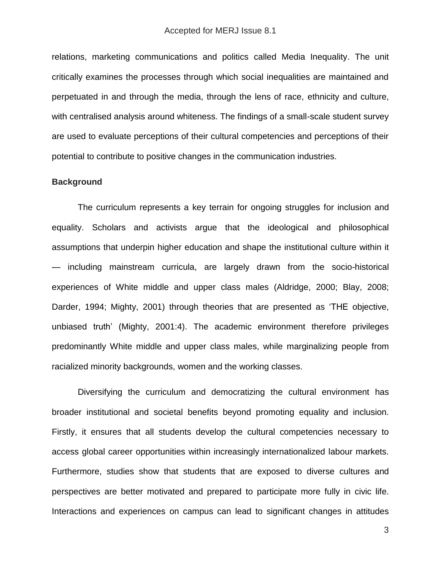relations, marketing communications and politics called Media Inequality. The unit critically examines the processes through which social inequalities are maintained and perpetuated in and through the media, through the lens of race, ethnicity and culture, with centralised analysis around whiteness. The findings of a small-scale student survey are used to evaluate perceptions of their cultural competencies and perceptions of their potential to contribute to positive changes in the communication industries.

## **Background**

The curriculum represents a key terrain for ongoing struggles for inclusion and equality. Scholars and activists argue that the ideological and philosophical assumptions that underpin higher education and shape the institutional culture within it — including mainstream curricula, are largely drawn from the socio-historical experiences of White middle and upper class males (Aldridge, 2000; Blay, 2008; Darder, 1994; Mighty, 2001) through theories that are presented as 'THE objective, unbiased truth' (Mighty, 2001:4). The academic environment therefore privileges predominantly White middle and upper class males, while marginalizing people from racialized minority backgrounds, women and the working classes.

Diversifying the curriculum and democratizing the cultural environment has broader institutional and societal benefits beyond promoting equality and inclusion. Firstly, it ensures that all students develop the cultural competencies necessary to access global career opportunities within increasingly internationalized labour markets. Furthermore, studies show that students that are exposed to diverse cultures and perspectives are better motivated and prepared to participate more fully in civic life. Interactions and experiences on campus can lead to significant changes in attitudes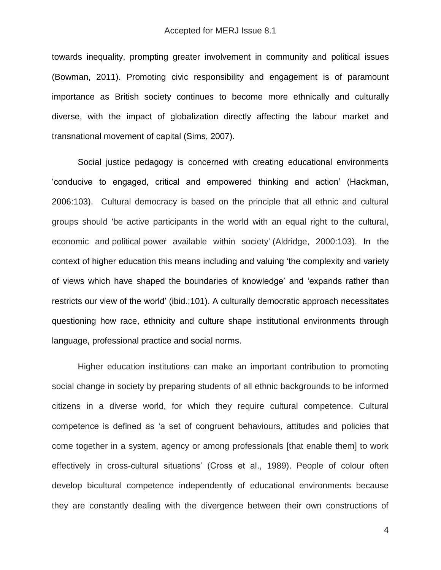towards inequality, prompting greater involvement in community and political issues (Bowman, 2011). Promoting civic responsibility and engagement is of paramount importance as British society continues to become more ethnically and culturally diverse, with the impact of globalization directly affecting the labour market and transnational movement of capital (Sims, 2007).

Social justice pedagogy is concerned with creating educational environments 'conducive to engaged, critical and empowered thinking and action' (Hackman, 2006:103). Cultural democracy is based on the principle that all ethnic and cultural groups should 'be active participants in the world with an equal right to the cultural, economic and political power available within society' (Aldridge, 2000:103). In the context of higher education this means including and valuing 'the complexity and variety of views which have shaped the boundaries of knowledge' and 'expands rather than restricts our view of the world' (ibid.;101). A culturally democratic approach necessitates questioning how race, ethnicity and culture shape institutional environments through language, professional practice and social norms.

Higher education institutions can make an important contribution to promoting social change in society by preparing students of all ethnic backgrounds to be informed citizens in a diverse world, for which they require cultural competence. Cultural competence is defined as 'a set of congruent behaviours, attitudes and policies that come together in a system, agency or among professionals [that enable them] to work effectively in cross-cultural situations' (Cross et al., 1989). People of colour often develop bicultural competence independently of educational environments because they are constantly dealing with the divergence between their own constructions of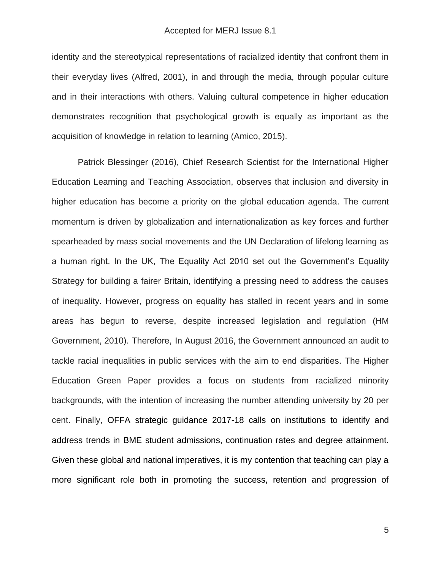identity and the stereotypical representations of racialized identity that confront them in their everyday lives (Alfred, 2001), in and through the media, through popular culture and in their interactions with others. Valuing cultural competence in higher education demonstrates recognition that psychological growth is equally as important as the acquisition of knowledge in relation to learning (Amico, 2015).

Patrick Blessinger (2016), Chief Research Scientist for the International Higher Education Learning and Teaching Association, observes that inclusion and diversity in higher education has become a priority on the global education agenda. The current momentum is driven by globalization and internationalization as key forces and further spearheaded by mass social movements and the UN Declaration of lifelong learning as a human right. In the UK, The Equality Act 2010 set out the Government's Equality Strategy for building a fairer Britain, identifying a pressing need to address the causes of inequality. However, progress on equality has stalled in recent years and in some areas has begun to reverse, despite increased legislation and regulation (HM Government, 2010). Therefore, In August 2016, the Government announced an audit to tackle racial inequalities in public services with the aim to end disparities. The Higher Education Green Paper provides a focus on students from racialized minority backgrounds, with the intention of increasing the number attending university by 20 per cent. Finally, OFFA strategic guidance 2017-18 calls on institutions to identify and address trends in BME student admissions, continuation rates and degree attainment. Given these global and national imperatives, it is my contention that teaching can play a more significant role both in promoting the success, retention and progression of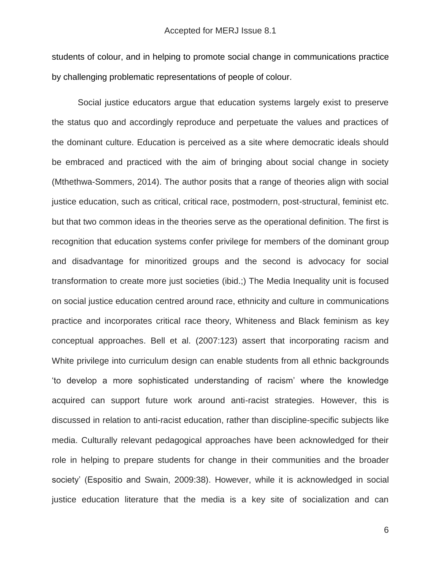students of colour, and in helping to promote social change in communications practice by challenging problematic representations of people of colour.

Social justice educators argue that education systems largely exist to preserve the status quo and accordingly reproduce and perpetuate the values and practices of the dominant culture. Education is perceived as a site where democratic ideals should be embraced and practiced with the aim of bringing about social change in society (Mthethwa-Sommers, 2014). The author posits that a range of theories align with social justice education, such as critical, critical race, postmodern, post-structural, feminist etc. but that two common ideas in the theories serve as the operational definition. The first is recognition that education systems confer privilege for members of the dominant group and disadvantage for minoritized groups and the second is advocacy for social transformation to create more just societies (ibid.;) The Media Inequality unit is focused on social justice education centred around race, ethnicity and culture in communications practice and incorporates critical race theory, Whiteness and Black feminism as key conceptual approaches. Bell et al. (2007:123) assert that incorporating racism and White privilege into curriculum design can enable students from all ethnic backgrounds 'to develop a more sophisticated understanding of racism' where the knowledge acquired can support future work around anti-racist strategies. However, this is discussed in relation to anti-racist education, rather than discipline-specific subjects like media. Culturally relevant pedagogical approaches have been acknowledged for their role in helping to prepare students for change in their communities and the broader society' (Espositio and Swain, 2009:38). However, while it is acknowledged in social justice education literature that the media is a key site of socialization and can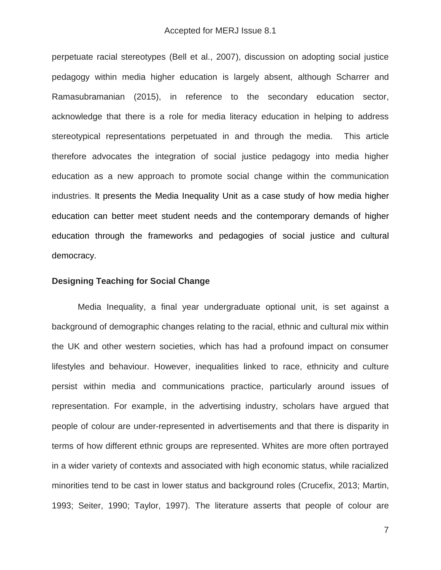perpetuate racial stereotypes (Bell et al., 2007), discussion on adopting social justice pedagogy within media higher education is largely absent, although Scharrer and Ramasubramanian (2015), in reference to the secondary education sector, acknowledge that there is a role for media literacy education in helping to address stereotypical representations perpetuated in and through the media. This article therefore advocates the integration of social justice pedagogy into media higher education as a new approach to promote social change within the communication industries. It presents the Media Inequality Unit as a case study of how media higher education can better meet student needs and the contemporary demands of higher education through the frameworks and pedagogies of social justice and cultural democracy.

## **Designing Teaching for Social Change**

Media Inequality, a final year undergraduate optional unit, is set against a background of demographic changes relating to the racial, ethnic and cultural mix within the UK and other western societies, which has had a profound impact on consumer lifestyles and behaviour. However, inequalities linked to race, ethnicity and culture persist within media and communications practice, particularly around issues of representation. For example, in the advertising industry, scholars have argued that people of colour are under-represented in advertisements and that there is disparity in terms of how different ethnic groups are represented. Whites are more often portrayed in a wider variety of contexts and associated with high economic status, while racialized minorities tend to be cast in lower status and background roles (Crucefix, 2013; Martin, 1993; Seiter, 1990; Taylor, 1997). The literature asserts that people of colour are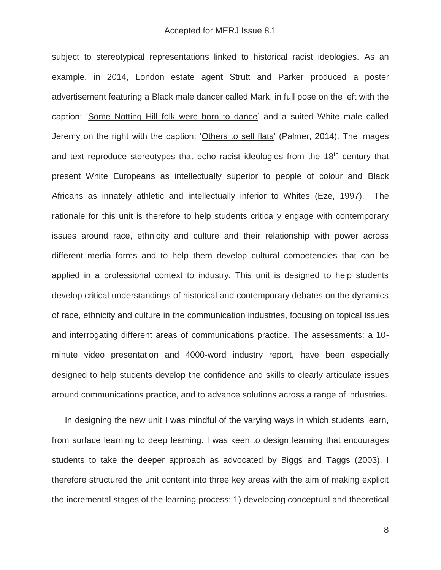subject to stereotypical representations linked to historical racist ideologies. As an example, in 2014, London estate agent Strutt and Parker produced a poster advertisement featuring a Black male dancer called Mark, in full pose on the left with the caption: 'Some Notting Hill folk were born to dance' and a suited White male called Jeremy on the right with the caption: 'Others to sell flats' (Palmer, 2014). The images and text reproduce stereotypes that echo racist ideologies from the  $18<sup>th</sup>$  century that present White Europeans as intellectually superior to people of colour and Black Africans as innately athletic and intellectually inferior to Whites (Eze, 1997). The rationale for this unit is therefore to help students critically engage with contemporary issues around race, ethnicity and culture and their relationship with power across different media forms and to help them develop cultural competencies that can be applied in a professional context to industry. This unit is designed to help students develop critical understandings of historical and contemporary debates on the dynamics of race, ethnicity and culture in the communication industries, focusing on topical issues and interrogating different areas of communications practice. The assessments: a 10 minute video presentation and 4000-word industry report, have been especially designed to help students develop the confidence and skills to clearly articulate issues around communications practice, and to advance solutions across a range of industries.

In designing the new unit I was mindful of the varying ways in which students learn, from surface learning to deep learning. I was keen to design learning that encourages students to take the deeper approach as advocated by Biggs and Taggs (2003). I therefore structured the unit content into three key areas with the aim of making explicit the incremental stages of the learning process: 1) developing conceptual and theoretical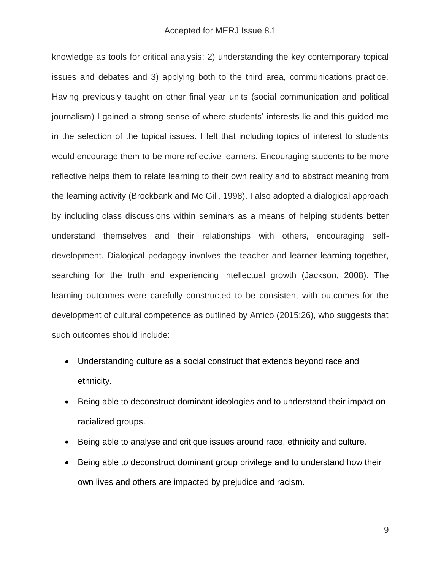knowledge as tools for critical analysis; 2) understanding the key contemporary topical issues and debates and 3) applying both to the third area, communications practice. Having previously taught on other final year units (social communication and political journalism) I gained a strong sense of where students' interests lie and this guided me in the selection of the topical issues. I felt that including topics of interest to students would encourage them to be more reflective learners. Encouraging students to be more reflective helps them to relate learning to their own reality and to abstract meaning from the learning activity (Brockbank and Mc Gill, 1998). I also adopted a dialogical approach by including class discussions within seminars as a means of helping students better understand themselves and their relationships with others, encouraging selfdevelopment. Dialogical pedagogy involves the teacher and learner learning together, searching for the truth and experiencing intellectual growth (Jackson, 2008). The learning outcomes were carefully constructed to be consistent with outcomes for the development of cultural competence as outlined by Amico (2015:26), who suggests that such outcomes should include:

- Understanding culture as a social construct that extends beyond race and ethnicity.
- Being able to deconstruct dominant ideologies and to understand their impact on racialized groups.
- Being able to analyse and critique issues around race, ethnicity and culture.
- Being able to deconstruct dominant group privilege and to understand how their own lives and others are impacted by prejudice and racism.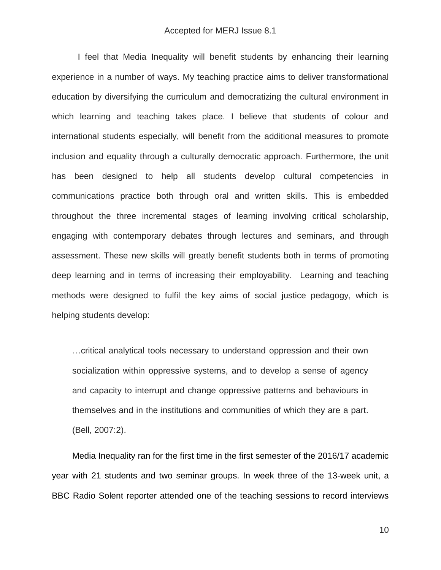I feel that Media Inequality will benefit students by enhancing their learning experience in a number of ways. My teaching practice aims to deliver transformational education by diversifying the curriculum and democratizing the cultural environment in which learning and teaching takes place. I believe that students of colour and international students especially, will benefit from the additional measures to promote inclusion and equality through a culturally democratic approach. Furthermore, the unit has been designed to help all students develop cultural competencies in communications practice both through oral and written skills. This is embedded throughout the three incremental stages of learning involving critical scholarship, engaging with contemporary debates through lectures and seminars, and through assessment. These new skills will greatly benefit students both in terms of promoting deep learning and in terms of increasing their employability. Learning and teaching methods were designed to fulfil the key aims of social justice pedagogy, which is helping students develop:

…critical analytical tools necessary to understand oppression and their own socialization within oppressive systems, and to develop a sense of agency and capacity to interrupt and change oppressive patterns and behaviours in themselves and in the institutions and communities of which they are a part. (Bell, 2007:2).

Media Inequality ran for the first time in the first semester of the 2016/17 academic year with 21 students and two seminar groups. In week three of the 13-week unit, a BBC Radio Solent reporter attended one of the teaching sessions to record interviews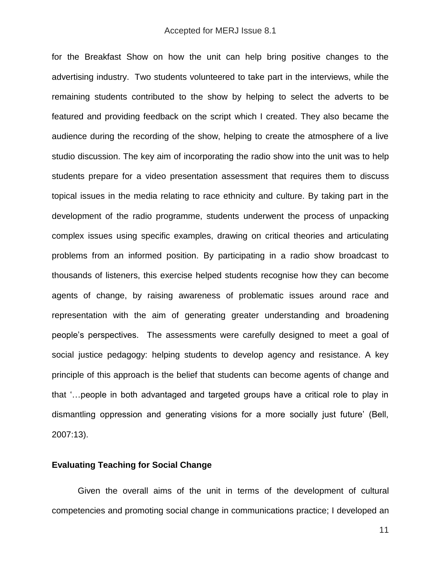for the Breakfast Show on how the unit can help bring positive changes to the advertising industry. Two students volunteered to take part in the interviews, while the remaining students contributed to the show by helping to select the adverts to be featured and providing feedback on the script which I created. They also became the audience during the recording of the show, helping to create the atmosphere of a live studio discussion. The key aim of incorporating the radio show into the unit was to help students prepare for a video presentation assessment that requires them to discuss topical issues in the media relating to race ethnicity and culture. By taking part in the development of the radio programme, students underwent the process of unpacking complex issues using specific examples, drawing on critical theories and articulating problems from an informed position. By participating in a radio show broadcast to thousands of listeners, this exercise helped students recognise how they can become agents of change, by raising awareness of problematic issues around race and representation with the aim of generating greater understanding and broadening people's perspectives. The assessments were carefully designed to meet a goal of social justice pedagogy: helping students to develop agency and resistance. A key principle of this approach is the belief that students can become agents of change and that '…people in both advantaged and targeted groups have a critical role to play in dismantling oppression and generating visions for a more socially just future' (Bell, 2007:13).

# **Evaluating Teaching for Social Change**

Given the overall aims of the unit in terms of the development of cultural competencies and promoting social change in communications practice; I developed an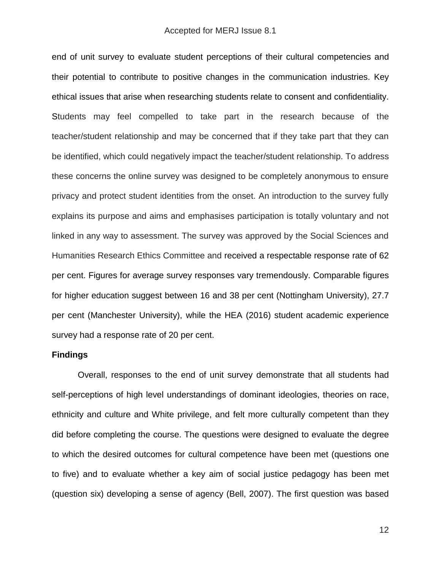end of unit survey to evaluate student perceptions of their cultural competencies and their potential to contribute to positive changes in the communication industries. Key ethical issues that arise when researching students relate to consent and confidentiality. Students may feel compelled to take part in the research because of the teacher/student relationship and may be concerned that if they take part that they can be identified, which could negatively impact the teacher/student relationship. To address these concerns the online survey was designed to be completely anonymous to ensure privacy and protect student identities from the onset. An introduction to the survey fully explains its purpose and aims and emphasises participation is totally voluntary and not linked in any way to assessment. The survey was approved by the Social Sciences and Humanities Research Ethics Committee and received a respectable response rate of 62 per cent. Figures for average survey responses vary tremendously. Comparable figures for higher education suggest between 16 and 38 per cent (Nottingham University), 27.7 per cent (Manchester University), while the HEA (2016) student academic experience survey had a response rate of 20 per cent.

#### **Findings**

Overall, responses to the end of unit survey demonstrate that all students had self-perceptions of high level understandings of dominant ideologies, theories on race, ethnicity and culture and White privilege, and felt more culturally competent than they did before completing the course. The questions were designed to evaluate the degree to which the desired outcomes for cultural competence have been met (questions one to five) and to evaluate whether a key aim of social justice pedagogy has been met (question six) developing a sense of agency (Bell, 2007). The first question was based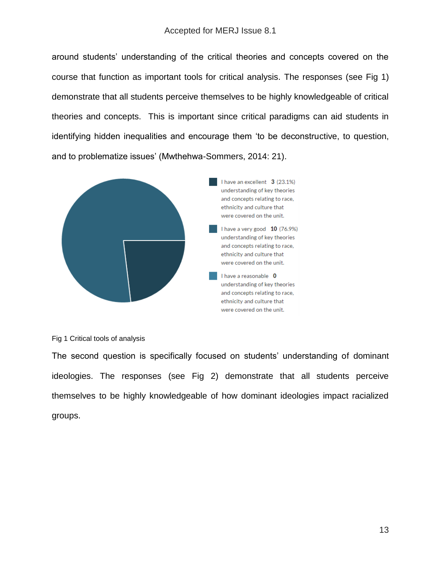around students' understanding of the critical theories and concepts covered on the course that function as important tools for critical analysis. The responses (see Fig 1) demonstrate that all students perceive themselves to be highly knowledgeable of critical theories and concepts. This is important since critical paradigms can aid students in identifying hidden inequalities and encourage them 'to be deconstructive, to question, and to problematize issues' (Mwthehwa-Sommers, 2014: 21).



## Fig 1 Critical tools of analysis

The second question is specifically focused on students' understanding of dominant ideologies. The responses (see Fig 2) demonstrate that all students perceive themselves to be highly knowledgeable of how dominant ideologies impact racialized groups.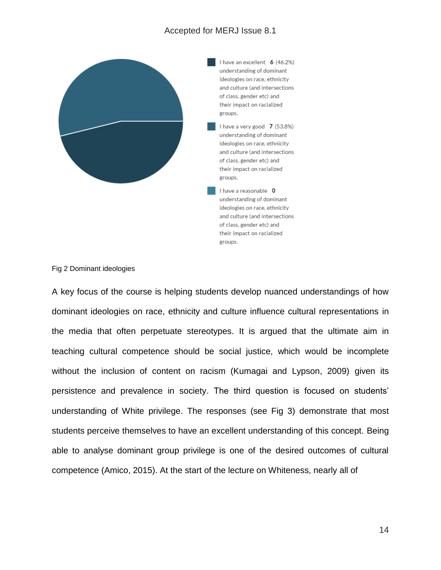

#### Fig 2 Dominant ideologies

A key focus of the course is helping students develop nuanced understandings of how dominant ideologies on race, ethnicity and culture influence cultural representations in the media that often perpetuate stereotypes. It is argued that the ultimate aim in teaching cultural competence should be social justice, which would be incomplete without the inclusion of content on racism (Kumagai and Lypson, 2009) given its persistence and prevalence in society. The third question is focused on students' understanding of White privilege. The responses (see Fig 3) demonstrate that most students perceive themselves to have an excellent understanding of this concept. Being able to analyse dominant group privilege is one of the desired outcomes of cultural competence (Amico, 2015). At the start of the lecture on Whiteness, nearly all of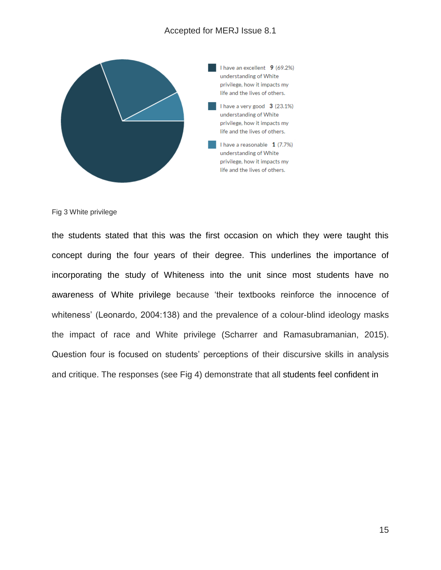

Fig 3 White privilege

the students stated that this was the first occasion on which they were taught this concept during the four years of their degree. This underlines the importance of incorporating the study of Whiteness into the unit since most students have no awareness of White privilege because 'their textbooks reinforce the innocence of whiteness' (Leonardo, 2004:138) and the prevalence of a colour-blind ideology masks the impact of race and White privilege (Scharrer and Ramasubramanian, 2015). Question four is focused on students' perceptions of their discursive skills in analysis and critique. The responses (see Fig 4) demonstrate that all students feel confident in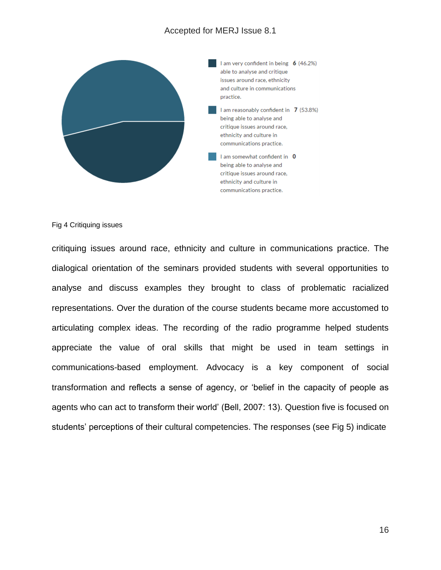

#### Fig 4 Critiquing issues

critiquing issues around race, ethnicity and culture in communications practice. The dialogical orientation of the seminars provided students with several opportunities to analyse and discuss examples they brought to class of problematic racialized representations. Over the duration of the course students became more accustomed to articulating complex ideas. The recording of the radio programme helped students appreciate the value of oral skills that might be used in team settings in communications-based employment. Advocacy is a key component of social transformation and reflects a sense of agency, or 'belief in the capacity of people as agents who can act to transform their world' (Bell, 2007: 13). Question five is focused on students' perceptions of their cultural competencies. The responses (see Fig 5) indicate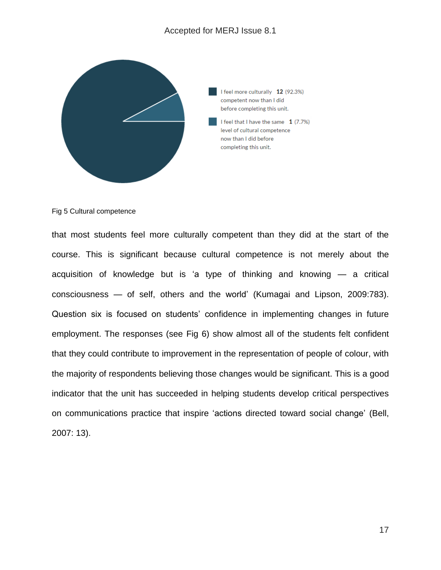

Fig 5 Cultural competence

that most students feel more culturally competent than they did at the start of the course. This is significant because cultural competence is not merely about the acquisition of knowledge but is 'a type of thinking and knowing — a critical consciousness — of self, others and the world' (Kumagai and Lipson, 2009:783). Question six is focused on students' confidence in implementing changes in future employment. The responses (see Fig 6) show almost all of the students felt confident that they could contribute to improvement in the representation of people of colour, with the majority of respondents believing those changes would be significant. This is a good indicator that the unit has succeeded in helping students develop critical perspectives on communications practice that inspire 'actions directed toward social change' (Bell, 2007: 13).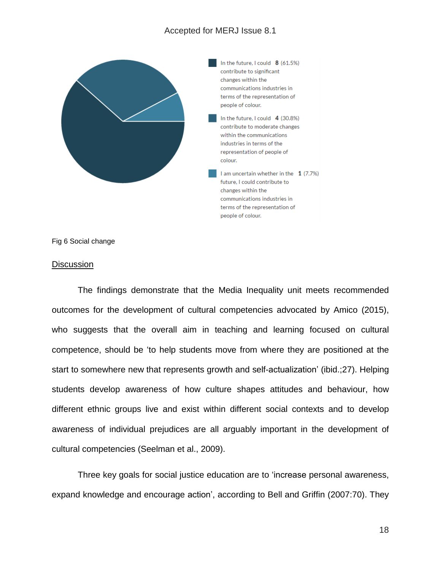

Fig 6 Social change

#### **Discussion**

The findings demonstrate that the Media Inequality unit meets recommended outcomes for the development of cultural competencies advocated by Amico (2015), who suggests that the overall aim in teaching and learning focused on cultural competence, should be 'to help students move from where they are positioned at the start to somewhere new that represents growth and self-actualization' (ibid.;27). Helping students develop awareness of how culture shapes attitudes and behaviour, how different ethnic groups live and exist within different social contexts and to develop awareness of individual prejudices are all arguably important in the development of cultural competencies (Seelman et al., 2009).

Three key goals for social justice education are to 'increase personal awareness, expand knowledge and encourage action', according to Bell and Griffin (2007:70). They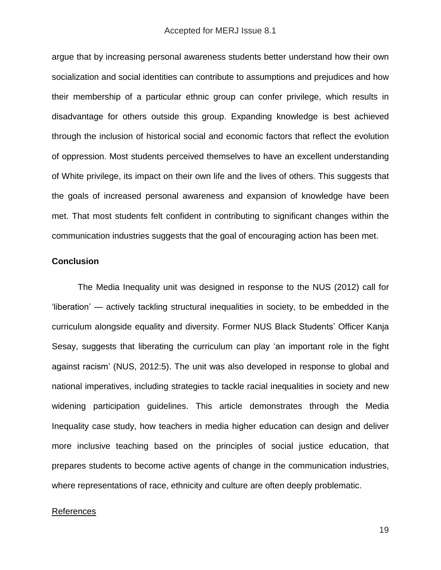argue that by increasing personal awareness students better understand how their own socialization and social identities can contribute to assumptions and prejudices and how their membership of a particular ethnic group can confer privilege, which results in disadvantage for others outside this group. Expanding knowledge is best achieved through the inclusion of historical social and economic factors that reflect the evolution of oppression. Most students perceived themselves to have an excellent understanding of White privilege, its impact on their own life and the lives of others. This suggests that the goals of increased personal awareness and expansion of knowledge have been met. That most students felt confident in contributing to significant changes within the communication industries suggests that the goal of encouraging action has been met.

# **Conclusion**

The Media Inequality unit was designed in response to the NUS (2012) call for 'liberation' — actively tackling structural inequalities in society, to be embedded in the curriculum alongside equality and diversity. Former NUS Black Students' Officer Kanja Sesay, suggests that liberating the curriculum can play 'an important role in the fight against racism' (NUS, 2012:5). The unit was also developed in response to global and national imperatives, including strategies to tackle racial inequalities in society and new widening participation guidelines. This article demonstrates through the Media Inequality case study, how teachers in media higher education can design and deliver more inclusive teaching based on the principles of social justice education, that prepares students to become active agents of change in the communication industries, where representations of race, ethnicity and culture are often deeply problematic.

#### References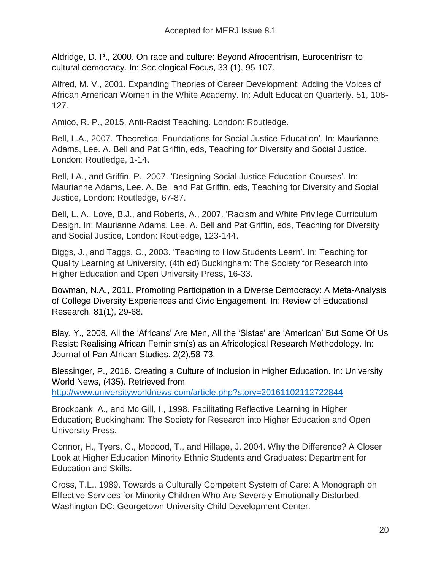Aldridge, D. P., 2000. On race and culture: Beyond Afrocentrism, Eurocentrism to cultural democracy. In: Sociological Focus, 33 (1), 95-107.

Alfred, M. V., 2001. Expanding Theories of Career Development: Adding the Voices of African American Women in the White Academy. In: Adult Education Quarterly. 51, 108- 127.

Amico, R. P., 2015. Anti-Racist Teaching. London: Routledge.

Bell, L.A., 2007. 'Theoretical Foundations for Social Justice Education'. In: Maurianne Adams, Lee. A. Bell and Pat Griffin, eds, Teaching for Diversity and Social Justice. London: Routledge, 1-14.

Bell, LA., and Griffin, P., 2007. 'Designing Social Justice Education Courses'. In: Maurianne Adams, Lee. A. Bell and Pat Griffin, eds, Teaching for Diversity and Social Justice, London: Routledge, 67-87.

Bell, L. A., Love, B.J., and Roberts, A., 2007. 'Racism and White Privilege Curriculum Design. In: Maurianne Adams, Lee. A. Bell and Pat Griffin, eds, Teaching for Diversity and Social Justice, London: Routledge, 123-144.

Biggs, J., and Taggs, C., 2003. 'Teaching to How Students Learn'. In: Teaching for Quality Learning at University, (4th ed) Buckingham: The Society for Research into Higher Education and Open University Press, 16-33.

Bowman, N.A., 2011. Promoting Participation in a Diverse Democracy: A Meta-Analysis of College Diversity Experiences and Civic Engagement. In: Review of Educational Research. 81(1), 29-68.

Blay, Y., 2008. All the 'Africans' Are Men, All the 'Sistas' are 'American' But Some Of Us Resist: Realising African Feminism(s) as an Africological Research Methodology. In: Journal of Pan African Studies. 2(2),58-73.

Blessinger, P., 2016. Creating a Culture of Inclusion in Higher Education. In: University World News, (435). Retrieved from

<http://www.universityworldnews.com/article.php?story=20161102112722844>

Brockbank, A., and Mc Gill, I., 1998. Facilitating Reflective Learning in Higher Education; Buckingham: The Society for Research into Higher Education and Open University Press.

Connor, H., Tyers, C., Modood, T., and Hillage, J. 2004. Why the Difference? A Closer Look at Higher Education Minority Ethnic Students and Graduates: Department for Education and Skills.

Cross, T.L., 1989. Towards a Culturally Competent System of Care: A Monograph on Effective Services for Minority Children Who Are Severely Emotionally Disturbed. Washington DC: Georgetown University Child Development Center.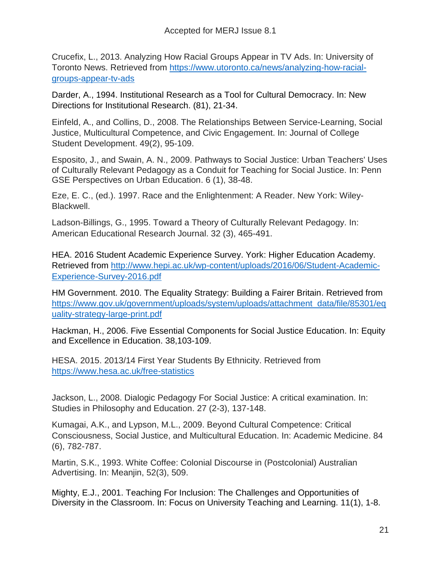Crucefix, L., 2013. Analyzing How Racial Groups Appear in TV Ads. In: University of Toronto News. Retrieved from [https://www.utoronto.ca/news/analyzing-how-racial](https://www.utoronto.ca/news/analyzing-how-racial-groups-appear-tv-ads)[groups-appear-tv-ads](https://www.utoronto.ca/news/analyzing-how-racial-groups-appear-tv-ads)

Darder, A., 1994. Institutional Research as a Tool for Cultural Democracy. In: New Directions for Institutional Research. (81), 21-34.

Einfeld, A., and Collins, D., 2008. The Relationships Between Service-Learning, Social Justice, Multicultural Competence, and Civic Engagement. In: Journal of College Student Development. 49(2), 95-109.

Esposito, J., and Swain, A. N., 2009. Pathways to Social Justice: Urban Teachers' Uses of Culturally Relevant Pedagogy as a Conduit for Teaching for Social Justice. In: Penn GSE Perspectives on Urban Education. 6 (1), 38-48.

Eze, E. C., (ed.). 1997. Race and the Enlightenment: A Reader. New York: Wiley-Blackwell.

Ladson-Billings, G., 1995. Toward a Theory of Culturally Relevant Pedagogy. In: American Educational Research Journal. 32 (3), 465-491.

HEA. 2016 Student Academic Experience Survey. York: Higher Education Academy. Retrieved from [http://www.hepi.ac.uk/wp-content/uploads/2016/06/Student-Academic-](http://www.hepi.ac.uk/wp-content/uploads/2016/06/Student-Academic-Experience-Survey-2016.pdf)[Experience-Survey-2016.pdf](http://www.hepi.ac.uk/wp-content/uploads/2016/06/Student-Academic-Experience-Survey-2016.pdf)

HM Government. 2010. The Equality Strategy: Building a Fairer Britain. Retrieved from [https://www.gov.uk/government/uploads/system/uploads/attachment\\_data/file/85301/eq](https://www.gov.uk/government/uploads/system/uploads/attachment_data/file/85301/equality-strategy-large-print.pdf) [uality-strategy-large-print.pdf](https://www.gov.uk/government/uploads/system/uploads/attachment_data/file/85301/equality-strategy-large-print.pdf)

Hackman, H., 2006. Five Essential Components for Social Justice Education. In: Equity and Excellence in Education. 38,103-109.

HESA. 2015. 2013/14 First Year Students By Ethnicity. Retrieved from <https://www.hesa.ac.uk/free-statistics>

Jackson, L., 2008. Dialogic Pedagogy For Social Justice: A critical examination. In: Studies in Philosophy and Education. 27 (2-3), 137-148.

Kumagai, A.K., and Lypson, M.L., 2009. Beyond Cultural Competence: Critical Consciousness, Social Justice, and Multicultural Education. In: Academic Medicine. 84 (6), 782-787.

Martin, S.K., 1993. White Coffee: Colonial Discourse in (Postcolonial) Australian Advertising. In: Meanjin, 52(3), 509.

Mighty, E.J., 2001. Teaching For Inclusion: The Challenges and Opportunities of Diversity in the Classroom. In: Focus on University Teaching and Learning. 11(1), 1-8.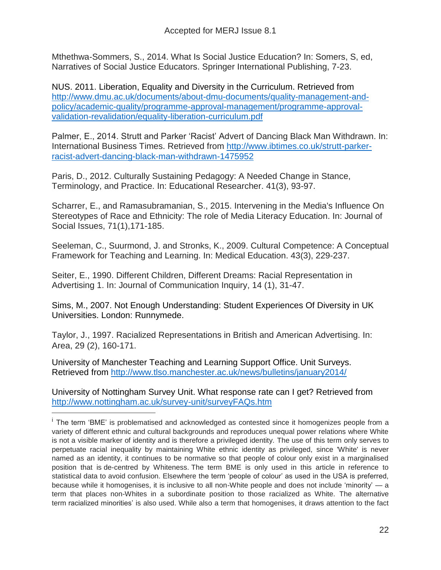Mthethwa-Sommers, S., 2014. What Is Social Justice Education? In: Somers, S, ed, Narratives of Social Justice Educators. Springer International Publishing, 7-23.

NUS. 2011. Liberation, Equality and Diversity in the Curriculum. Retrieved from [http://www.dmu.ac.uk/documents/about-dmu-documents/quality-management-and](http://www.dmu.ac.uk/documents/about-dmu-documents/quality-management-and-policy/academic-quality/programme-approval-management/programme-approval-validation-revalidation/equality-liberation-curriculum.pdf)[policy/academic-quality/programme-approval-management/programme-approval](http://www.dmu.ac.uk/documents/about-dmu-documents/quality-management-and-policy/academic-quality/programme-approval-management/programme-approval-validation-revalidation/equality-liberation-curriculum.pdf)[validation-revalidation/equality-liberation-curriculum.pdf](http://www.dmu.ac.uk/documents/about-dmu-documents/quality-management-and-policy/academic-quality/programme-approval-management/programme-approval-validation-revalidation/equality-liberation-curriculum.pdf)

Palmer, E., 2014. Strutt and Parker 'Racist' Advert of Dancing Black Man Withdrawn. In: International Business Times. Retrieved from [http://www.ibtimes.co.uk/strutt-parker](http://www.ibtimes.co.uk/strutt-parker-racist-advert-dancing-black-man-withdrawn-1475952)[racist-advert-dancing-black-man-withdrawn-1475952](http://www.ibtimes.co.uk/strutt-parker-racist-advert-dancing-black-man-withdrawn-1475952)

Paris, D., 2012. Culturally Sustaining Pedagogy: A Needed Change in Stance, Terminology, and Practice. In: Educational Researcher. 41(3), 93-97.

Scharrer, E., and Ramasubramanian, S., 2015. Intervening in the Media's Influence On Stereotypes of Race and Ethnicity: The role of Media Literacy Education. In: Journal of Social Issues, 71(1),171-185.

Seeleman, C., Suurmond, J. and Stronks, K., 2009. Cultural Competence: A Conceptual Framework for Teaching and Learning. In: Medical Education. 43(3), 229-237.

Seiter, E., 1990. Different Children, Different Dreams: Racial Representation in Advertising 1. In: Journal of Communication Inquiry, 14 (1), 31-47.

Sims, M., 2007. Not Enough Understanding: Student Experiences Of Diversity in UK Universities. London: Runnymede.

Taylor, J., 1997. Racialized Representations in British and American Advertising. In: Area, 29 (2), 160-171.

University of Manchester Teaching and Learning Support Office. Unit Surveys. Retrieved from <http://www.tlso.manchester.ac.uk/news/bulletins/january2014/>

 $\overline{a}$ 

University of Nottingham Survey Unit. What response rate can I get? Retrieved from <http://www.nottingham.ac.uk/survey-unit/surveyFAQs.htm>

<sup>&</sup>lt;sup>i</sup> The term 'BME' is problematised and acknowledged as contested since it homogenizes people from a variety of different ethnic and cultural backgrounds and reproduces unequal power relations where White is not a visible marker of identity and is therefore a privileged identity. The use of this term only serves to perpetuate racial inequality by maintaining White ethnic identity as privileged, since 'White' is never named as an identity, it continues to be normative so that people of colour only exist in a marginalised position that is de-centred by Whiteness. The term BME is only used in this article in reference to statistical data to avoid confusion. Elsewhere the term 'people of colour' as used in the USA is preferred, because while it homogenises, it is inclusive to all non-White people and does not include 'minority' — a term that places non-Whites in a subordinate position to those racialized as White. The alternative term racialized minorities' is also used. While also a term that homogenises, it draws attention to the fact